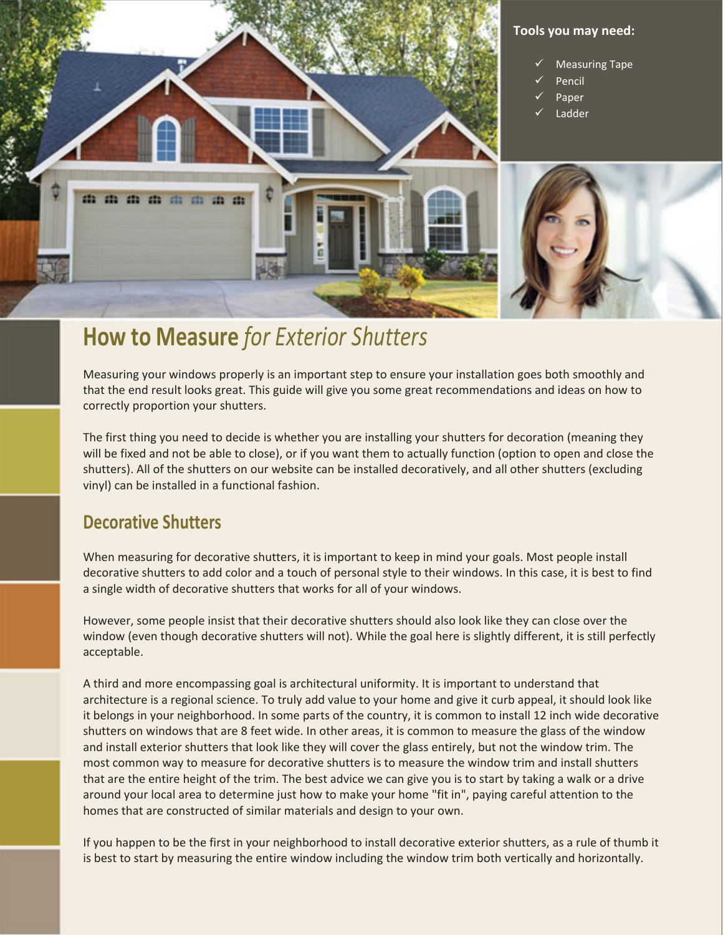

# **How to Measure** *for Exterior Shutters*

Measuring your windows properly is an important step to ensure your installation goes both smoothly and that the end result looks great. This guide will give you some great recommendations and ideas on how to correctly proportion your shutters.

The first thing you need to decide is whether you are installing your shutters for decoration (meaning they will be fixed and not be able to close), or if you want them to actually function (option to open and close the shutters). All of the shutters on our website can be installed decoratively, and all other shutters (excluding vinyl) can be installed in a functional fashion.

### **Decorative Shutters**

When measuring for decorative shutters, it is important to keep in mind your goals. Most people install decorative shutters to add color and a touch of personal style to their windows. In this case, it is best to find a single width of decorative shutters that works for all of your windows.

However, some people insist that their decorative shutters should also look like they can close over the window (even though decorative shutters will not). While the goal here is slightly different, it is still perfectly acceptable.

A third and more encompassing goal is architectural uniformity. It is important to understand that architecture is a regional science. To truly add value to your home and give it curb appeal, it should look like it belongs in your neighborhood. In some parts of the country, it is common to install 12 inch wide decorative shutters on windows that are 8 feet wide. In other areas, it is common to measure the glass of the window and install exterior shutters that look like they will cover the glass entirely, but not the window trim. The most common way to measure for decorative shutters is to measure the window trim and install shutters that are the entire height of the trim. The best advice we can give you is to start by taking a walk or a drive around your local area to determine just how to make your home "fit in", paying careful attention to the homes that are constructed of similar materials and design to your own.

If you happen to be the first in your neighborhood to install decorative exterior shutters, as a rule of thumb it is best to start by measuring the entire window including the window trim both vertically and horizontally.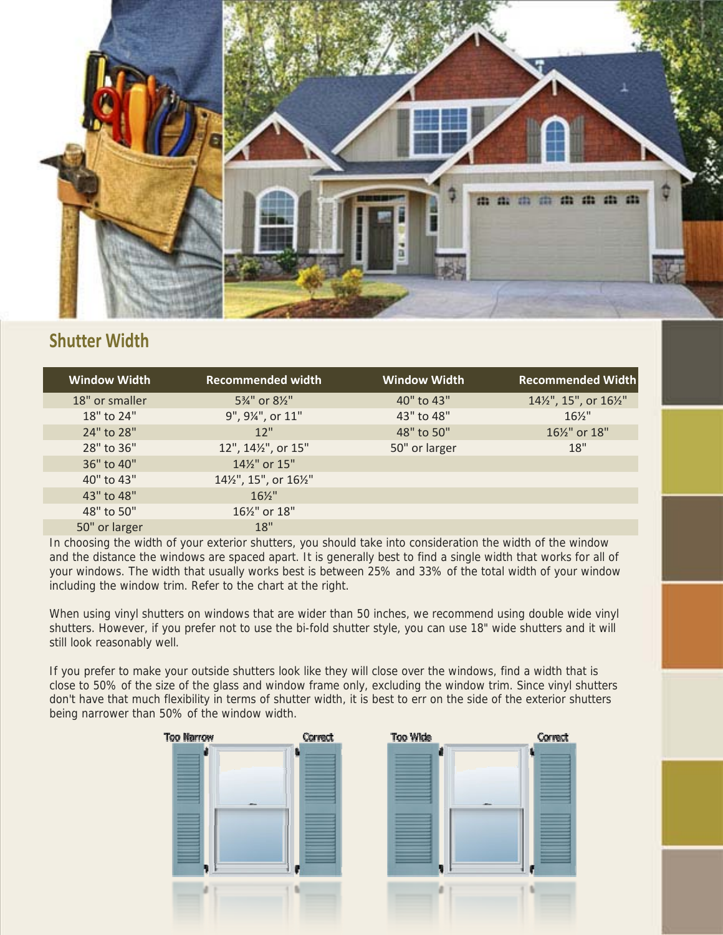

### **Shutter Width**

| <b>Window Width</b> | <b>Recommended width</b>                | <b>Window Width</b> | <b>Recommended Width</b> |
|---------------------|-----------------------------------------|---------------------|--------------------------|
| 18" or smaller      | 5%" or 8%"                              | 40" to 43"          | 141/2", 15", or 161/2"   |
| 18" to 24"          | 9", 9¼", or 11"                         | 43" to 48"          | $16\frac{1}{2}$ "        |
| 24" to 28"          | 12"                                     | 48" to 50"          | 161/2" or 18"            |
| 28" to 36"          | 12", 141/2", or 15"                     | 50" or larger       | 18"                      |
| 36" to 40"          | 14 <sup>1</sup> / <sub>2</sub> " or 15" |                     |                          |
| 40" to 43"          | 141/2", 15", or 161/2"                  |                     |                          |
| 43" to 48"          | $16\frac{1}{2}$                         |                     |                          |
| 48" to 50"          | 161/2" or 18"                           |                     |                          |
| 50" or larger       | 18"                                     |                     |                          |

In choosing the width of your exterior shutters, you should take into consideration the width of the window and the distance the windows are spaced apart. It is generally best to find a single width that works for all of your windows. The width that usually works best is between 25% and 33% of the total width of your window including the window trim. Refer to the chart at the right.

When using vinyl shutters on windows that are wider than 50 inches, we recommend using double wide vinyl shutters. However, if you prefer not to use the bi-fold shutter style, you can use 18" wide shutters and it will still look reasonably well.

If you prefer to make your outside shutters look like they will close over the windows, find a width that is close to 50% of the size of the glass and window frame only, excluding the window trim. Since vinyl shutters don't have that much flexibility in terms of shutter width, it is best to err on the side of the exterior shutters being narrower than 50% of the window width.

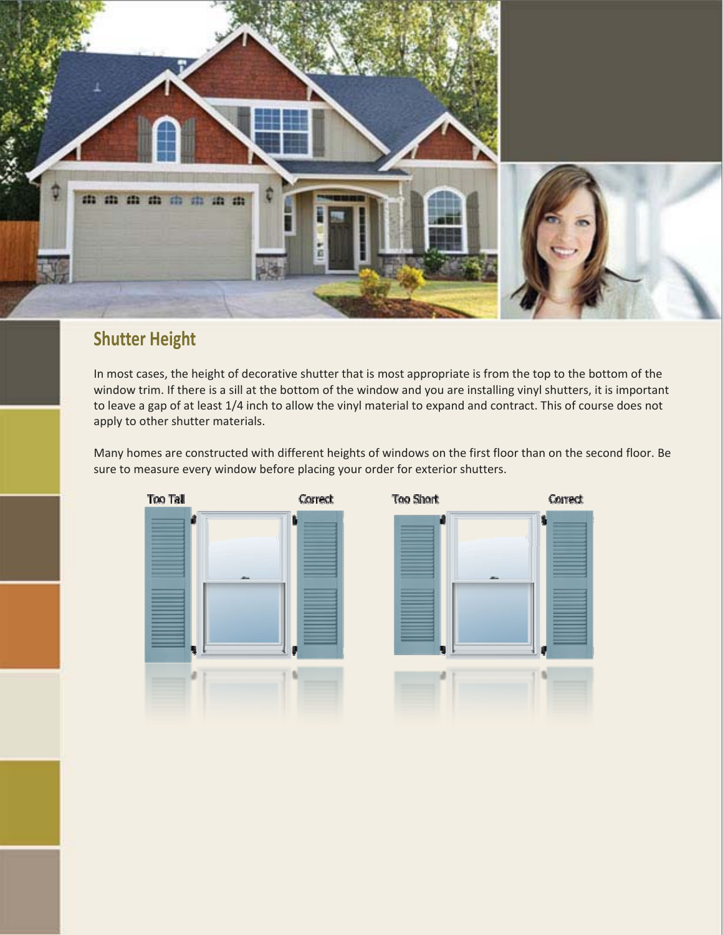

## **Shutter Height**

In most cases, the height of decorative shutter that is most appropriate is from the top to the bottom of the window trim. If there is a sill at the bottom of the window and you are installing vinyl shutters, it is important to leave a gap of at least 1/4 inch to allow the vinyl material to expand and contract. This of course does not apply to other shutter materials.

Many homes are constructed with different heights of windows on the first floor than on the second floor. Be sure to measure every window before placing your order for exterior shutters.

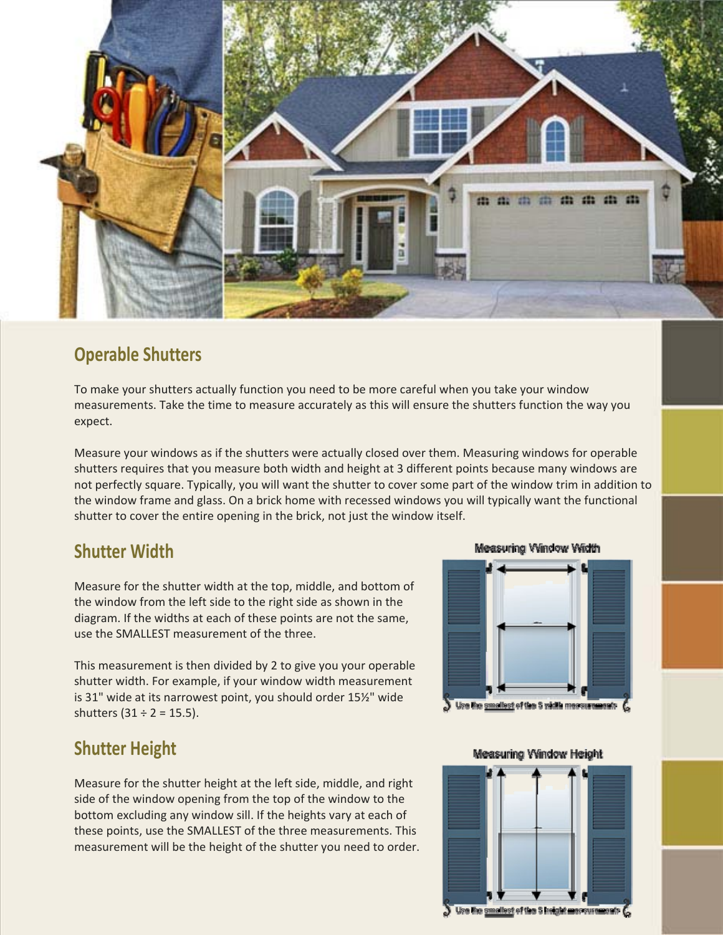

## **Operable Shutters**

To make your shutters actually function you need to be more careful when you take your window measurements. Take the time to measure accurately as this will ensure the shutters function the way you expect.

Measure your windows as if the shutters were actually closed over them. Measuring windows for operable shutters requires that you measure both width and height at 3 different points because many windows are not perfectly square. Typically, you will want the shutter to cover some part of the window trim in addition to the window frame and glass. On a brick home with recessed windows you will typically want the functional shutter to cover the entire opening in the brick, not just the window itself.

## **Shutter Width**

Measure for the shutter width at the top, middle, and bottom of the window from the left side to the right side as shown in the diagram. If the widths at each of these points are not the same, use the SMALLEST measurement of the three.

This measurement is then divided by 2 to give you your operable shutter width. For example, if your window width measurement is 31" wide at its narrowest point, you should order 15½" wide shutters  $(31 \div 2 = 15.5)$ .

## **Shutter Height**

Measure for the shutter height at the left side, middle, and right side of the window opening from the top of the window to the bottom excluding any window sill. If the heights vary at each of these points, use the SMALLEST of the three measurements. This measurement will be the height of the shutter you need to order.

#### Measuring Window Width



#### Measuring Window Height